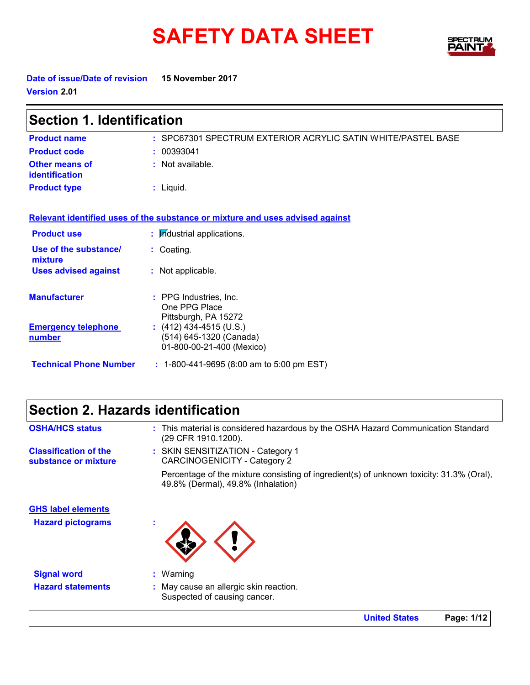# SAFETY DATA SHEET SPECTRY



**Date of issue/Date of revision 15 November 2017 Version 2.01**

| <b>Section 1. Identification</b>            |                                                                                 |  |
|---------------------------------------------|---------------------------------------------------------------------------------|--|
| <b>Product name</b>                         | : SPC67301 SPECTRUM EXTERIOR ACRYLIC SATIN WHITE/PASTEL BASE                    |  |
| <b>Product code</b>                         | : 00393041                                                                      |  |
| Other means of<br>identification            | : Not available.                                                                |  |
| <b>Product type</b>                         | $:$ Liquid.                                                                     |  |
|                                             | Relevant identified uses of the substance or mixture and uses advised against   |  |
| <b>Product use</b>                          | : Industrial applications.                                                      |  |
| Use of the substance/<br>mixture            | : Coating.                                                                      |  |
| <b>Uses advised against</b>                 | : Not applicable.                                                               |  |
| <b>Manufacturer</b>                         | : PPG Industries, Inc.<br>One PPG Place<br>Pittsburgh, PA 15272                 |  |
| <b>Emergency telephone</b><br><u>number</u> | $(412)$ 434-4515 (U.S.)<br>(514) 645-1320 (Canada)<br>01-800-00-21-400 (Mexico) |  |
| <b>Technical Phone Number</b>               | $: 1-800-441-9695$ (8:00 am to 5:00 pm EST)                                     |  |

## **Section 2. Hazards identification**

| <b>OSHA/HCS status</b>                               | : This material is considered hazardous by the OSHA Hazard Communication Standard<br>(29 CFR 1910.1200).                       |
|------------------------------------------------------|--------------------------------------------------------------------------------------------------------------------------------|
| <b>Classification of the</b><br>substance or mixture | : SKIN SENSITIZATION - Category 1<br>CARCINOGENICITY - Category 2                                                              |
|                                                      | Percentage of the mixture consisting of ingredient(s) of unknown toxicity: 31.3% (Oral),<br>49.8% (Dermal), 49.8% (Inhalation) |
| <b>GHS label elements</b>                            |                                                                                                                                |
| <b>Hazard pictograms</b>                             | ×                                                                                                                              |
| <b>Signal word</b>                                   | $:$ Warning                                                                                                                    |
| <b>Hazard statements</b>                             | : May cause an allergic skin reaction.<br>Suspected of causing cancer.                                                         |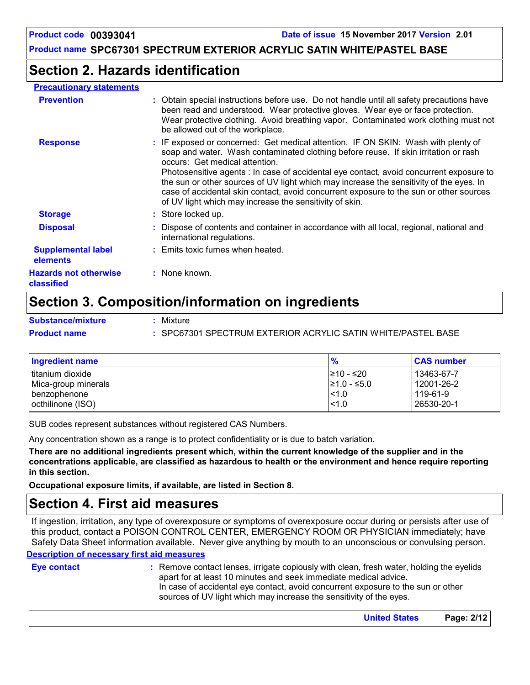## **Section 2. Hazards identification**

#### **Precautionary statements**

| <b>Prevention</b>                            | : Obtain special instructions before use. Do not handle until all safety precautions have<br>been read and understood. Wear protective gloves. Wear eye or face protection.<br>Wear protective clothing. Avoid breathing vapor. Contaminated work clothing must not<br>be allowed out of the workplace.                                                                                                                                                                                                                                               |
|----------------------------------------------|-------------------------------------------------------------------------------------------------------------------------------------------------------------------------------------------------------------------------------------------------------------------------------------------------------------------------------------------------------------------------------------------------------------------------------------------------------------------------------------------------------------------------------------------------------|
| <b>Response</b>                              | : IF exposed or concerned: Get medical attention. IF ON SKIN: Wash with plenty of<br>soap and water. Wash contaminated clothing before reuse. If skin irritation or rash<br>occurs: Get medical attention.<br>Photosensitive agents : In case of accidental eye contact, avoid concurrent exposure to<br>the sun or other sources of UV light which may increase the sensitivity of the eyes. In<br>case of accidental skin contact, avoid concurrent exposure to the sun or other sources<br>of UV light which may increase the sensitivity of skin. |
| <b>Storage</b>                               | : Store locked up.                                                                                                                                                                                                                                                                                                                                                                                                                                                                                                                                    |
| <b>Disposal</b>                              | : Dispose of contents and container in accordance with all local, regional, national and<br>international regulations.                                                                                                                                                                                                                                                                                                                                                                                                                                |
| <b>Supplemental label</b><br><b>elements</b> | : Emits toxic fumes when heated.                                                                                                                                                                                                                                                                                                                                                                                                                                                                                                                      |
| <b>Hazards not otherwise</b><br>classified   | : None known.                                                                                                                                                                                                                                                                                                                                                                                                                                                                                                                                         |

## **Section 3. Composition/information on ingredients**

**Substance/mixture :**

Mixture **Product name :** SPC67301 SPECTRUM EXTERIOR ACRYLIC SATIN WHITE/PASTEL BASE

| Ingredient name                          | $\frac{9}{6}$                  | <b>CAS number</b>        |
|------------------------------------------|--------------------------------|--------------------------|
| Ititanium dioxide<br>Mica-group minerals | I≥10 - ≤20<br>$\geq 1.0 - 5.0$ | 13463-67-7<br>12001-26-2 |
| benzophenone                             | $ $ < 1.0                      | 119-61-9                 |
| octhilinone (ISO)                        | $ $ < 1.0                      | 26530-20-1               |

SUB codes represent substances without registered CAS Numbers.

Any concentration shown as a range is to protect confidentiality or is due to batch variation.

**There are no additional ingredients present which, within the current knowledge of the supplier and in the concentrations applicable, are classified as hazardous to health or the environment and hence require reporting in this section.**

**Occupational exposure limits, if available, are listed in Section 8.**

## **Section 4. First aid measures**

If ingestion, irritation, any type of overexposure or symptoms of overexposure occur during or persists after use of this product, contact a POISON CONTROL CENTER, EMERGENCY ROOM OR PHYSICIAN immediately; have Safety Data Sheet information available. Never give anything by mouth to an unconscious or convulsing person.

#### **Description of necessary first aid measures**

**Eye contact :**

In case of accidental eye contact, avoid concurrent exposure to the sun or other sources of UV light which may increase the sensitivity of the eyes. Remove contact lenses, irrigate copiously with clean, fresh water, holding the eyelids apart for at least 10 minutes and seek immediate medical advice.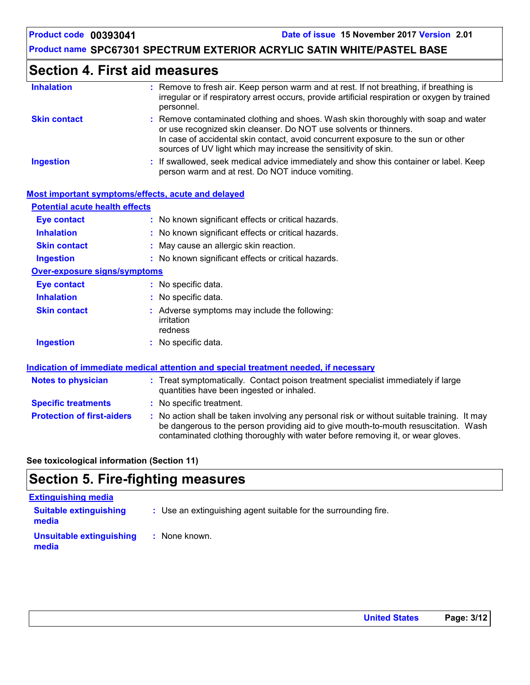## **Section 4. First aid measures**

| <b>Inhalation</b>                     | : Remove to fresh air. Keep person warm and at rest. If not breathing, if breathing is<br>irregular or if respiratory arrest occurs, provide artificial respiration or oxygen by trained<br>personnel.                                                                                                          |
|---------------------------------------|-----------------------------------------------------------------------------------------------------------------------------------------------------------------------------------------------------------------------------------------------------------------------------------------------------------------|
| <b>Skin contact</b>                   | : Remove contaminated clothing and shoes. Wash skin thoroughly with soap and water<br>or use recognized skin cleanser. Do NOT use solvents or thinners.<br>In case of accidental skin contact, avoid concurrent exposure to the sun or other<br>sources of UV light which may increase the sensitivity of skin. |
| <b>Ingestion</b>                      | : If swallowed, seek medical advice immediately and show this container or label. Keep<br>person warm and at rest. Do NOT induce vomiting.                                                                                                                                                                      |
|                                       | Most important symptoms/effects, acute and delayed                                                                                                                                                                                                                                                              |
| <b>Potential acute health effects</b> |                                                                                                                                                                                                                                                                                                                 |
| Eye contact                           | : No known significant effects or critical hazards.                                                                                                                                                                                                                                                             |
| <b>Inhalation</b>                     | : No known significant effects or critical hazards.                                                                                                                                                                                                                                                             |
| <b>Skin contact</b>                   | : May cause an allergic skin reaction.                                                                                                                                                                                                                                                                          |
| <b>Ingestion</b>                      | : No known significant effects or critical hazards.                                                                                                                                                                                                                                                             |
| <b>Over-exposure signs/symptoms</b>   |                                                                                                                                                                                                                                                                                                                 |
| Eye contact                           | : No specific data.                                                                                                                                                                                                                                                                                             |
| <b>Inhalation</b>                     | : No specific data.                                                                                                                                                                                                                                                                                             |

- **Skin contact** Adverse symptoms may include the following: **:** irritation redness
- **Ingestion** No specific data. **:**

#### **Indication of immediate medical attention and special treatment needed, if necessary**

| <b>Notes to physician</b>         | : Treat symptomatically. Contact poison treatment specialist immediately if large<br>quantities have been ingested or inhaled.                                                                                                                                        |  |
|-----------------------------------|-----------------------------------------------------------------------------------------------------------------------------------------------------------------------------------------------------------------------------------------------------------------------|--|
| <b>Specific treatments</b>        | : No specific treatment.                                                                                                                                                                                                                                              |  |
| <b>Protection of first-aiders</b> | : No action shall be taken involving any personal risk or without suitable training. It may<br>be dangerous to the person providing aid to give mouth-to-mouth resuscitation. Wash<br>contaminated clothing thoroughly with water before removing it, or wear gloves. |  |

#### **See toxicological information (Section 11)**

## **Section 5. Fire-fighting measures**

| <b>Extinguishing media</b>             |                                                                 |
|----------------------------------------|-----------------------------------------------------------------|
| <b>Suitable extinguishing</b><br>media | : Use an extinguishing agent suitable for the surrounding fire. |
| Unsuitable extinguishing<br>media      | : None known.                                                   |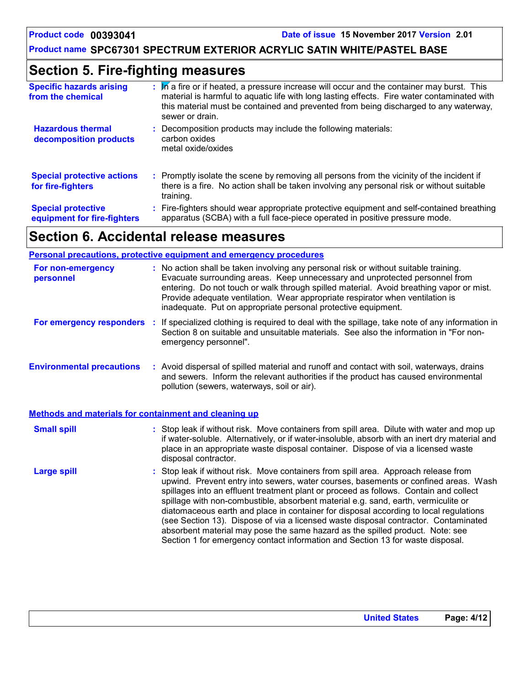## **Section 5. Fire-fighting measures**

| <b>Specific hazards arising</b><br>from the chemical     | : In a fire or if heated, a pressure increase will occur and the container may burst. This<br>material is harmful to aquatic life with long lasting effects. Fire water contaminated with<br>this material must be contained and prevented from being discharged to any waterway,<br>sewer or drain. |
|----------------------------------------------------------|------------------------------------------------------------------------------------------------------------------------------------------------------------------------------------------------------------------------------------------------------------------------------------------------------|
| <b>Hazardous thermal</b><br>decomposition products       | Decomposition products may include the following materials:<br>carbon oxides<br>metal oxide/oxides                                                                                                                                                                                                   |
| <b>Special protective actions</b><br>for fire-fighters   | : Promptly isolate the scene by removing all persons from the vicinity of the incident if<br>there is a fire. No action shall be taken involving any personal risk or without suitable<br>training.                                                                                                  |
| <b>Special protective</b><br>equipment for fire-fighters | Fire-fighters should wear appropriate protective equipment and self-contained breathing<br>apparatus (SCBA) with a full face-piece operated in positive pressure mode.                                                                                                                               |

## **Section 6. Accidental release measures**

#### **Personal precautions, protective equipment and emergency procedures**

| For non-emergency<br>personnel                               | : No action shall be taken involving any personal risk or without suitable training.<br>Evacuate surrounding areas. Keep unnecessary and unprotected personnel from<br>entering. Do not touch or walk through spilled material. Avoid breathing vapor or mist.<br>Provide adequate ventilation. Wear appropriate respirator when ventilation is<br>inadequate. Put on appropriate personal protective equipment.                                                                                                                                                                                                                                                                                             |
|--------------------------------------------------------------|--------------------------------------------------------------------------------------------------------------------------------------------------------------------------------------------------------------------------------------------------------------------------------------------------------------------------------------------------------------------------------------------------------------------------------------------------------------------------------------------------------------------------------------------------------------------------------------------------------------------------------------------------------------------------------------------------------------|
| For emergency responders                                     | : If specialized clothing is required to deal with the spillage, take note of any information in<br>Section 8 on suitable and unsuitable materials. See also the information in "For non-<br>emergency personnel".                                                                                                                                                                                                                                                                                                                                                                                                                                                                                           |
| <b>Environmental precautions</b>                             | : Avoid dispersal of spilled material and runoff and contact with soil, waterways, drains<br>and sewers. Inform the relevant authorities if the product has caused environmental<br>pollution (sewers, waterways, soil or air).                                                                                                                                                                                                                                                                                                                                                                                                                                                                              |
| <b>Methods and materials for containment and cleaning up</b> |                                                                                                                                                                                                                                                                                                                                                                                                                                                                                                                                                                                                                                                                                                              |
| <b>Small spill</b>                                           | : Stop leak if without risk. Move containers from spill area. Dilute with water and mop up<br>if water-soluble. Alternatively, or if water-insoluble, absorb with an inert dry material and<br>place in an appropriate waste disposal container. Dispose of via a licensed waste<br>disposal contractor.                                                                                                                                                                                                                                                                                                                                                                                                     |
| <b>Large spill</b>                                           | : Stop leak if without risk. Move containers from spill area. Approach release from<br>upwind. Prevent entry into sewers, water courses, basements or confined areas. Wash<br>spillages into an effluent treatment plant or proceed as follows. Contain and collect<br>spillage with non-combustible, absorbent material e.g. sand, earth, vermiculite or<br>diatomaceous earth and place in container for disposal according to local regulations<br>(see Section 13). Dispose of via a licensed waste disposal contractor. Contaminated<br>absorbent material may pose the same hazard as the spilled product. Note: see<br>Section 1 for emergency contact information and Section 13 for waste disposal. |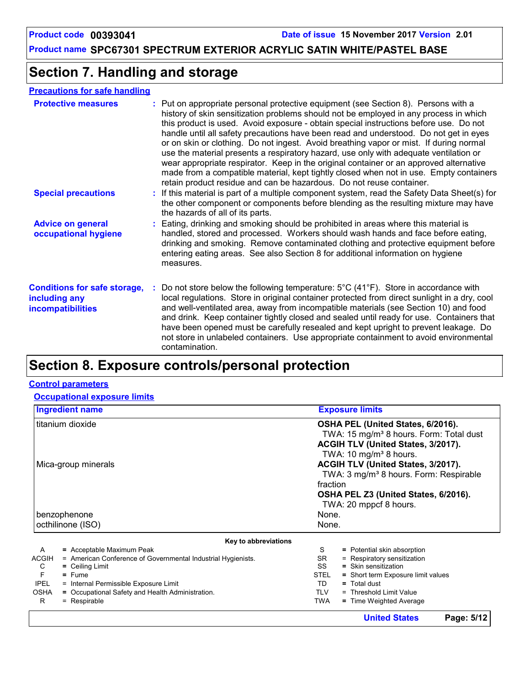## **Section 7. Handling and storage**

#### **Precautions for safe handling**

| <b>Protective measures</b>                                                       | : Put on appropriate personal protective equipment (see Section 8). Persons with a<br>history of skin sensitization problems should not be employed in any process in which<br>this product is used. Avoid exposure - obtain special instructions before use. Do not<br>handle until all safety precautions have been read and understood. Do not get in eyes<br>or on skin or clothing. Do not ingest. Avoid breathing vapor or mist. If during normal<br>use the material presents a respiratory hazard, use only with adequate ventilation or<br>wear appropriate respirator. Keep in the original container or an approved alternative<br>made from a compatible material, kept tightly closed when not in use. Empty containers<br>retain product residue and can be hazardous. Do not reuse container. |
|----------------------------------------------------------------------------------|--------------------------------------------------------------------------------------------------------------------------------------------------------------------------------------------------------------------------------------------------------------------------------------------------------------------------------------------------------------------------------------------------------------------------------------------------------------------------------------------------------------------------------------------------------------------------------------------------------------------------------------------------------------------------------------------------------------------------------------------------------------------------------------------------------------|
| <b>Special precautions</b>                                                       | : If this material is part of a multiple component system, read the Safety Data Sheet(s) for<br>the other component or components before blending as the resulting mixture may have<br>the hazards of all of its parts.                                                                                                                                                                                                                                                                                                                                                                                                                                                                                                                                                                                      |
| <b>Advice on general</b><br>occupational hygiene                                 | : Eating, drinking and smoking should be prohibited in areas where this material is<br>handled, stored and processed. Workers should wash hands and face before eating,<br>drinking and smoking. Remove contaminated clothing and protective equipment before<br>entering eating areas. See also Section 8 for additional information on hygiene<br>measures.                                                                                                                                                                                                                                                                                                                                                                                                                                                |
| <b>Conditions for safe storage,</b><br>including any<br><i>incompatibilities</i> | Do not store below the following temperature: $5^{\circ}$ C (41 <sup>o</sup> F). Store in accordance with<br>local regulations. Store in original container protected from direct sunlight in a dry, cool<br>and well-ventilated area, away from incompatible materials (see Section 10) and food<br>and drink. Keep container tightly closed and sealed until ready for use. Containers that<br>have been opened must be carefully resealed and kept upright to prevent leakage. Do<br>not store in unlabeled containers. Use appropriate containment to avoid environmental<br>contamination.                                                                                                                                                                                                              |

## **Section 8. Exposure controls/personal protection**

#### **Control parameters**

#### **Occupational exposure limits**

|                   | <b>Ingredient name</b>                                       | <b>Exposure limits</b>                              |  |  |  |  |  |
|-------------------|--------------------------------------------------------------|-----------------------------------------------------|--|--|--|--|--|
|                   | titanium dioxide                                             | OSHA PEL (United States, 6/2016).                   |  |  |  |  |  |
|                   |                                                              | TWA: 15 mg/m <sup>3</sup> 8 hours. Form: Total dust |  |  |  |  |  |
|                   |                                                              | ACGIH TLV (United States, 3/2017).                  |  |  |  |  |  |
|                   |                                                              | TWA: 10 mg/m <sup>3</sup> 8 hours.                  |  |  |  |  |  |
|                   | Mica-group minerals                                          | ACGIH TLV (United States, 3/2017).                  |  |  |  |  |  |
|                   |                                                              | TWA: 3 mg/m <sup>3</sup> 8 hours. Form: Respirable  |  |  |  |  |  |
|                   |                                                              | fraction                                            |  |  |  |  |  |
|                   |                                                              | OSHA PEL Z3 (United States, 6/2016).                |  |  |  |  |  |
|                   |                                                              | TWA: 20 mppcf 8 hours.                              |  |  |  |  |  |
|                   | benzophenone                                                 | None.                                               |  |  |  |  |  |
|                   | octhilinone (ISO)                                            | None.                                               |  |  |  |  |  |
|                   | Key to abbreviations                                         |                                                     |  |  |  |  |  |
| $\mathsf{A}$      | = Acceptable Maximum Peak                                    | S<br>= Potential skin absorption                    |  |  |  |  |  |
| <b>ACGIH</b>      | = American Conference of Governmental Industrial Hygienists. | = Respiratory sensitization<br>SR                   |  |  |  |  |  |
| C                 | $=$ Ceiling Limit                                            | SS<br>$=$ Skin sensitization                        |  |  |  |  |  |
| F                 | $=$ Fume                                                     | <b>STEL</b><br>= Short term Exposure limit values   |  |  |  |  |  |
| <b>IPEL</b>       | = Internal Permissible Exposure Limit                        | TD.<br>$=$ Total dust                               |  |  |  |  |  |
| <b>OSHA</b><br>R. | = Occupational Safety and Health Administration.             | <b>TLV</b><br>= Threshold Limit Value<br><b>TWA</b> |  |  |  |  |  |
|                   | = Respirable                                                 | = Time Weighted Average                             |  |  |  |  |  |
|                   |                                                              | <b>United States</b><br>Page: 5/12                  |  |  |  |  |  |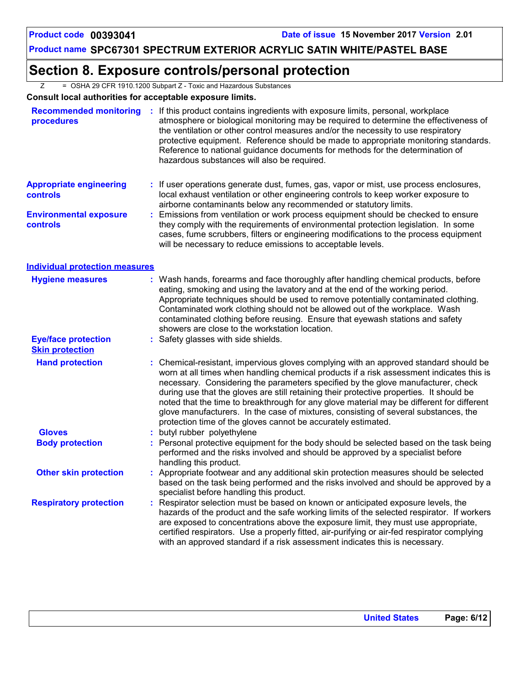## **Section 8. Exposure controls/personal protection**

Z = OSHA 29 CFR 1910.1200 Subpart Z - Toxic and Hazardous Substances

#### **Consult local authorities for acceptable exposure limits.**

| <b>Recommended monitoring</b><br>procedures          | ÷. | If this product contains ingredients with exposure limits, personal, workplace<br>atmosphere or biological monitoring may be required to determine the effectiveness of<br>the ventilation or other control measures and/or the necessity to use respiratory<br>protective equipment. Reference should be made to appropriate monitoring standards.<br>Reference to national guidance documents for methods for the determination of<br>hazardous substances will also be required.                                                                                                                                  |
|------------------------------------------------------|----|----------------------------------------------------------------------------------------------------------------------------------------------------------------------------------------------------------------------------------------------------------------------------------------------------------------------------------------------------------------------------------------------------------------------------------------------------------------------------------------------------------------------------------------------------------------------------------------------------------------------|
| <b>Appropriate engineering</b><br>controls           |    | If user operations generate dust, fumes, gas, vapor or mist, use process enclosures,<br>local exhaust ventilation or other engineering controls to keep worker exposure to<br>airborne contaminants below any recommended or statutory limits.                                                                                                                                                                                                                                                                                                                                                                       |
| <b>Environmental exposure</b><br><b>controls</b>     |    | Emissions from ventilation or work process equipment should be checked to ensure<br>they comply with the requirements of environmental protection legislation. In some<br>cases, fume scrubbers, filters or engineering modifications to the process equipment<br>will be necessary to reduce emissions to acceptable levels.                                                                                                                                                                                                                                                                                        |
| <b>Individual protection measures</b>                |    |                                                                                                                                                                                                                                                                                                                                                                                                                                                                                                                                                                                                                      |
| <b>Hygiene measures</b>                              |    | Wash hands, forearms and face thoroughly after handling chemical products, before<br>eating, smoking and using the lavatory and at the end of the working period.<br>Appropriate techniques should be used to remove potentially contaminated clothing.<br>Contaminated work clothing should not be allowed out of the workplace. Wash<br>contaminated clothing before reusing. Ensure that eyewash stations and safety<br>showers are close to the workstation location.                                                                                                                                            |
| <b>Eye/face protection</b><br><b>Skin protection</b> |    | Safety glasses with side shields.                                                                                                                                                                                                                                                                                                                                                                                                                                                                                                                                                                                    |
| <b>Hand protection</b>                               |    | Chemical-resistant, impervious gloves complying with an approved standard should be<br>worn at all times when handling chemical products if a risk assessment indicates this is<br>necessary. Considering the parameters specified by the glove manufacturer, check<br>during use that the gloves are still retaining their protective properties. It should be<br>noted that the time to breakthrough for any glove material may be different for different<br>glove manufacturers. In the case of mixtures, consisting of several substances, the<br>protection time of the gloves cannot be accurately estimated. |
| <b>Gloves</b>                                        |    | butyl rubber polyethylene                                                                                                                                                                                                                                                                                                                                                                                                                                                                                                                                                                                            |
| <b>Body protection</b>                               |    | Personal protective equipment for the body should be selected based on the task being<br>performed and the risks involved and should be approved by a specialist before<br>handling this product.                                                                                                                                                                                                                                                                                                                                                                                                                    |
| <b>Other skin protection</b>                         |    | Appropriate footwear and any additional skin protection measures should be selected<br>based on the task being performed and the risks involved and should be approved by a<br>specialist before handling this product.                                                                                                                                                                                                                                                                                                                                                                                              |
| <b>Respiratory protection</b>                        |    | Respirator selection must be based on known or anticipated exposure levels, the<br>hazards of the product and the safe working limits of the selected respirator. If workers<br>are exposed to concentrations above the exposure limit, they must use appropriate,<br>certified respirators. Use a properly fitted, air-purifying or air-fed respirator complying<br>with an approved standard if a risk assessment indicates this is necessary.                                                                                                                                                                     |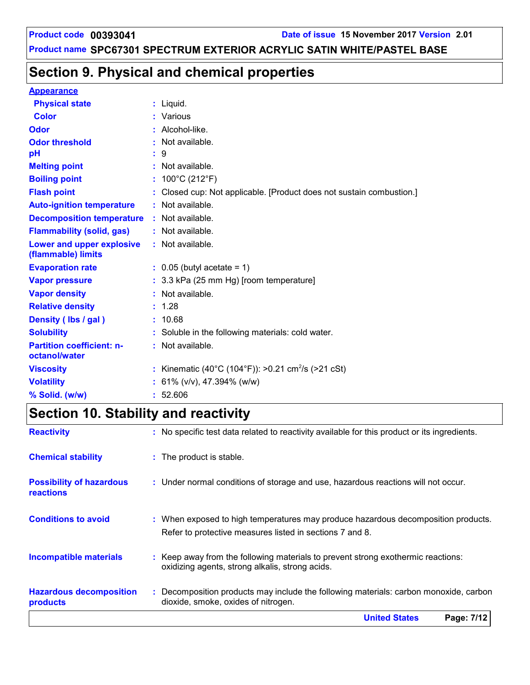## **Section 9. Physical and chemical properties**

#### **Appearance**

| <b>Physical state</b>                             | : Liquid.                                                            |
|---------------------------------------------------|----------------------------------------------------------------------|
| <b>Color</b>                                      | : Various                                                            |
|                                                   |                                                                      |
| Odor                                              | : Alcohol-like.                                                      |
| <b>Odor threshold</b>                             | $:$ Not available.                                                   |
| рH                                                | 9                                                                    |
| <b>Melting point</b>                              | : Not available.                                                     |
| <b>Boiling point</b>                              | : $100^{\circ}$ C (212 $^{\circ}$ F)                                 |
| <b>Flash point</b>                                | : Closed cup: Not applicable. [Product does not sustain combustion.] |
| <b>Auto-ignition temperature</b>                  | : Not available.                                                     |
| <b>Decomposition temperature : Not available.</b> |                                                                      |
| <b>Flammability (solid, gas)</b>                  | : Not available.                                                     |
| Lower and upper explosive<br>(flammable) limits   | : Not available.                                                     |
| <b>Evaporation rate</b>                           | $\therefore$ 0.05 (butyl acetate = 1)                                |
| <b>Vapor pressure</b>                             | : 3.3 kPa (25 mm Hg) [room temperature]                              |
| <b>Vapor density</b>                              | : Not available.                                                     |
| <b>Relative density</b>                           | : 1.28                                                               |
| Density (lbs / gal)                               | : 10.68                                                              |
| <b>Solubility</b>                                 | : Soluble in the following materials: cold water.                    |
| <b>Partition coefficient: n-</b><br>octanol/water | $:$ Not available.                                                   |
| <b>Viscosity</b>                                  | : Kinematic (40°C (104°F)): >0.21 cm <sup>2</sup> /s (>21 cSt)       |
| <b>Volatility</b>                                 | : $61\%$ (v/v), 47.394% (w/w)                                        |
| % Solid. (w/w)                                    | : 52.606                                                             |

## **Section 10. Stability and reactivity**

| <b>Reactivity</b>                            | : No specific test data related to reactivity available for this product or its ingredients.                                                  |  |
|----------------------------------------------|-----------------------------------------------------------------------------------------------------------------------------------------------|--|
| <b>Chemical stability</b>                    | : The product is stable.                                                                                                                      |  |
| <b>Possibility of hazardous</b><br>reactions | : Under normal conditions of storage and use, hazardous reactions will not occur.                                                             |  |
| <b>Conditions to avoid</b>                   | : When exposed to high temperatures may produce hazardous decomposition products.<br>Refer to protective measures listed in sections 7 and 8. |  |
| <b>Incompatible materials</b>                | : Keep away from the following materials to prevent strong exothermic reactions:<br>oxidizing agents, strong alkalis, strong acids.           |  |
| <b>Hazardous decomposition</b><br>products   | : Decomposition products may include the following materials: carbon monoxide, carbon<br>dioxide, smoke, oxides of nitrogen.                  |  |
|                                              | <b>United States</b><br>Page: 7/12                                                                                                            |  |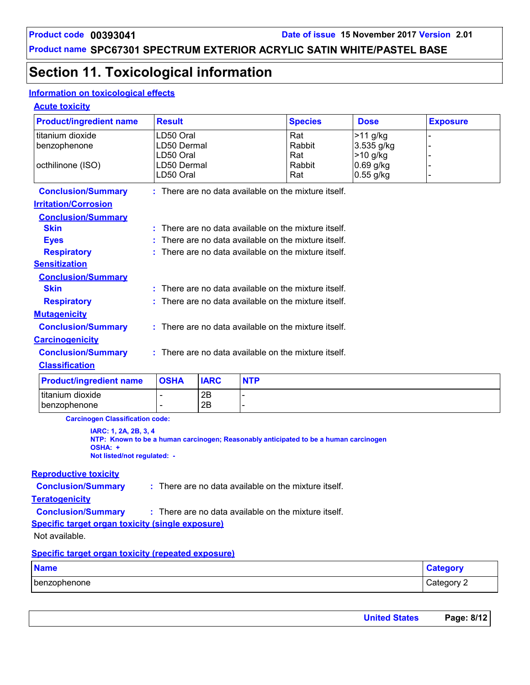## **Section 11. Toxicological information**

#### **Information on toxicological effects**

#### **Acute toxicity**

| <b>Product/ingredient name</b>                          | <b>Result</b>                                        |             |            | <b>Species</b>                                                                       | <b>Dose</b>              | <b>Exposure</b> |
|---------------------------------------------------------|------------------------------------------------------|-------------|------------|--------------------------------------------------------------------------------------|--------------------------|-----------------|
| titanium dioxide                                        | LD50 Oral                                            |             |            | Rat                                                                                  | $>11$ g/kg               |                 |
| benzophenone                                            | LD50 Dermal                                          |             |            | Rabbit                                                                               | 3.535 g/kg               |                 |
|                                                         | LD50 Oral                                            |             |            | Rat                                                                                  | >10 g/kg                 |                 |
| octhilinone (ISO)                                       | LD50 Dermal<br>LD50 Oral                             |             |            | Rabbit<br>Rat                                                                        | 0.69 g/kg<br>$0.55$ g/kg |                 |
|                                                         |                                                      |             |            |                                                                                      |                          |                 |
| <b>Conclusion/Summary</b>                               |                                                      |             |            | : There are no data available on the mixture itself.                                 |                          |                 |
| <b>Irritation/Corrosion</b>                             |                                                      |             |            |                                                                                      |                          |                 |
| <b>Conclusion/Summary</b>                               |                                                      |             |            |                                                                                      |                          |                 |
| <b>Skin</b>                                             |                                                      |             |            | : There are no data available on the mixture itself.                                 |                          |                 |
| <b>Eyes</b>                                             |                                                      |             |            | There are no data available on the mixture itself.                                   |                          |                 |
| <b>Respiratory</b>                                      |                                                      |             |            | There are no data available on the mixture itself.                                   |                          |                 |
| <b>Sensitization</b>                                    |                                                      |             |            |                                                                                      |                          |                 |
| <b>Conclusion/Summary</b>                               |                                                      |             |            |                                                                                      |                          |                 |
| <b>Skin</b>                                             |                                                      |             |            | : There are no data available on the mixture itself.                                 |                          |                 |
| <b>Respiratory</b>                                      |                                                      |             |            | There are no data available on the mixture itself.                                   |                          |                 |
| <b>Mutagenicity</b>                                     |                                                      |             |            |                                                                                      |                          |                 |
| <b>Conclusion/Summary</b>                               | : There are no data available on the mixture itself. |             |            |                                                                                      |                          |                 |
| <b>Carcinogenicity</b>                                  |                                                      |             |            |                                                                                      |                          |                 |
| <b>Conclusion/Summary</b>                               | : There are no data available on the mixture itself. |             |            |                                                                                      |                          |                 |
| <b>Classification</b>                                   |                                                      |             |            |                                                                                      |                          |                 |
| <b>Product/ingredient name</b>                          | <b>OSHA</b>                                          | <b>IARC</b> | <b>NTP</b> |                                                                                      |                          |                 |
| titanium dioxide                                        | L.                                                   | 2B          |            |                                                                                      |                          |                 |
| benzophenone                                            |                                                      | 2B          |            |                                                                                      |                          |                 |
| <b>Carcinogen Classification code:</b>                  |                                                      |             |            |                                                                                      |                          |                 |
| IARC: 1, 2A, 2B, 3, 4                                   |                                                      |             |            |                                                                                      |                          |                 |
| OSHA: +                                                 |                                                      |             |            | NTP: Known to be a human carcinogen; Reasonably anticipated to be a human carcinogen |                          |                 |
| Not listed/not regulated: -                             |                                                      |             |            |                                                                                      |                          |                 |
| <b>Reproductive toxicity</b>                            |                                                      |             |            |                                                                                      |                          |                 |
| <b>Conclusion/Summary</b>                               | : There are no data available on the mixture itself. |             |            |                                                                                      |                          |                 |
| <b>Teratogenicity</b>                                   |                                                      |             |            |                                                                                      |                          |                 |
| <b>Conclusion/Summary</b>                               | : There are no data available on the mixture itself. |             |            |                                                                                      |                          |                 |
| <b>Specific target organ toxicity (single exposure)</b> |                                                      |             |            |                                                                                      |                          |                 |

Not available.

#### **Specific target organ toxicity (repeated exposure)**

| <b>Name</b>  |          |
|--------------|----------|
| benzophenone | ategory  |
|              | <u>_</u> |

| <b>United States</b> | Page: 8/12 |
|----------------------|------------|
|----------------------|------------|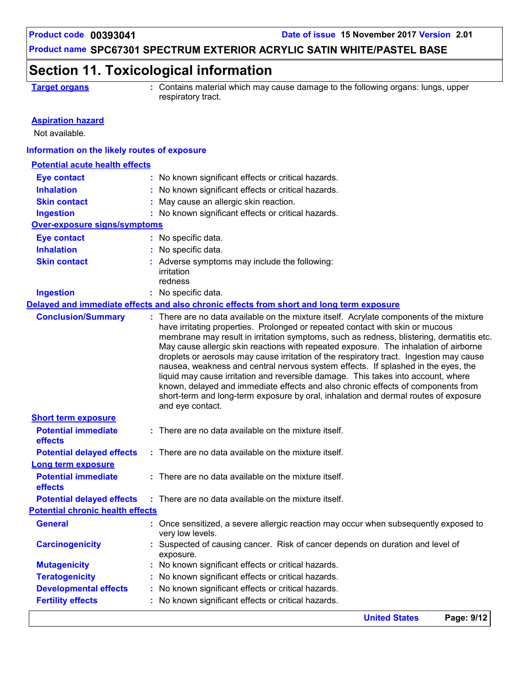## **Section 11. Toxicological information**

**Target organs :** Contains material which may cause damage to the following organs: lungs, upper respiratory tract.

| <b>Aspiration hazard</b><br>Not available.   |                                                                                                                                                                                                                                                                                                                                                                                                                                                                                                                                                                                                                                                                                                                                       |
|----------------------------------------------|---------------------------------------------------------------------------------------------------------------------------------------------------------------------------------------------------------------------------------------------------------------------------------------------------------------------------------------------------------------------------------------------------------------------------------------------------------------------------------------------------------------------------------------------------------------------------------------------------------------------------------------------------------------------------------------------------------------------------------------|
| Information on the likely routes of exposure |                                                                                                                                                                                                                                                                                                                                                                                                                                                                                                                                                                                                                                                                                                                                       |
| <b>Potential acute health effects</b>        |                                                                                                                                                                                                                                                                                                                                                                                                                                                                                                                                                                                                                                                                                                                                       |
|                                              |                                                                                                                                                                                                                                                                                                                                                                                                                                                                                                                                                                                                                                                                                                                                       |
| <b>Eye contact</b>                           | : No known significant effects or critical hazards.                                                                                                                                                                                                                                                                                                                                                                                                                                                                                                                                                                                                                                                                                   |
| <b>Inhalation</b>                            | : No known significant effects or critical hazards.                                                                                                                                                                                                                                                                                                                                                                                                                                                                                                                                                                                                                                                                                   |
| <b>Skin contact</b>                          | May cause an allergic skin reaction.                                                                                                                                                                                                                                                                                                                                                                                                                                                                                                                                                                                                                                                                                                  |
| <b>Ingestion</b>                             | : No known significant effects or critical hazards.                                                                                                                                                                                                                                                                                                                                                                                                                                                                                                                                                                                                                                                                                   |
| <b>Over-exposure signs/symptoms</b>          |                                                                                                                                                                                                                                                                                                                                                                                                                                                                                                                                                                                                                                                                                                                                       |
| <b>Eye contact</b>                           | : No specific data.                                                                                                                                                                                                                                                                                                                                                                                                                                                                                                                                                                                                                                                                                                                   |
| <b>Inhalation</b>                            | : No specific data.                                                                                                                                                                                                                                                                                                                                                                                                                                                                                                                                                                                                                                                                                                                   |
| <b>Skin contact</b>                          | : Adverse symptoms may include the following:                                                                                                                                                                                                                                                                                                                                                                                                                                                                                                                                                                                                                                                                                         |
|                                              | irritation                                                                                                                                                                                                                                                                                                                                                                                                                                                                                                                                                                                                                                                                                                                            |
|                                              | redness                                                                                                                                                                                                                                                                                                                                                                                                                                                                                                                                                                                                                                                                                                                               |
| <b>Ingestion</b>                             | : No specific data.                                                                                                                                                                                                                                                                                                                                                                                                                                                                                                                                                                                                                                                                                                                   |
| <b>Conclusion/Summary</b>                    | Delayed and immediate effects and also chronic effects from short and long term exposure<br>: There are no data available on the mixture itself. Acrylate components of the mixture                                                                                                                                                                                                                                                                                                                                                                                                                                                                                                                                                   |
|                                              | have irritating properties. Prolonged or repeated contact with skin or mucous<br>membrane may result in irritation symptoms, such as redness, blistering, dermatitis etc.<br>May cause allergic skin reactions with repeated exposure. The inhalation of airborne<br>droplets or aerosols may cause irritation of the respiratory tract. Ingestion may cause<br>nausea, weakness and central nervous system effects. If splashed in the eyes, the<br>liquid may cause irritation and reversible damage. This takes into account, where<br>known, delayed and immediate effects and also chronic effects of components from<br>short-term and long-term exposure by oral, inhalation and dermal routes of exposure<br>and eye contact. |
| <b>Short term exposure</b>                   |                                                                                                                                                                                                                                                                                                                                                                                                                                                                                                                                                                                                                                                                                                                                       |
| <b>Potential immediate</b><br>effects        | : There are no data available on the mixture itself.                                                                                                                                                                                                                                                                                                                                                                                                                                                                                                                                                                                                                                                                                  |
| <b>Potential delayed effects</b>             | : There are no data available on the mixture itself.                                                                                                                                                                                                                                                                                                                                                                                                                                                                                                                                                                                                                                                                                  |
| <b>Long term exposure</b>                    |                                                                                                                                                                                                                                                                                                                                                                                                                                                                                                                                                                                                                                                                                                                                       |
| <b>Potential immediate</b><br>effects        | : There are no data available on the mixture itself.                                                                                                                                                                                                                                                                                                                                                                                                                                                                                                                                                                                                                                                                                  |
| <b>Potential delayed effects</b>             | : There are no data available on the mixture itself.                                                                                                                                                                                                                                                                                                                                                                                                                                                                                                                                                                                                                                                                                  |
| <b>Potential chronic health effects</b>      |                                                                                                                                                                                                                                                                                                                                                                                                                                                                                                                                                                                                                                                                                                                                       |
| <b>General</b>                               | : Once sensitized, a severe allergic reaction may occur when subsequently exposed to<br>very low levels.                                                                                                                                                                                                                                                                                                                                                                                                                                                                                                                                                                                                                              |
| <b>Carcinogenicity</b>                       | : Suspected of causing cancer. Risk of cancer depends on duration and level of<br>exposure.                                                                                                                                                                                                                                                                                                                                                                                                                                                                                                                                                                                                                                           |
| <b>Mutagenicity</b>                          | No known significant effects or critical hazards.                                                                                                                                                                                                                                                                                                                                                                                                                                                                                                                                                                                                                                                                                     |
| <b>Teratogenicity</b>                        | No known significant effects or critical hazards.                                                                                                                                                                                                                                                                                                                                                                                                                                                                                                                                                                                                                                                                                     |
| <b>Developmental effects</b>                 | No known significant effects or critical hazards.                                                                                                                                                                                                                                                                                                                                                                                                                                                                                                                                                                                                                                                                                     |
| <b>Fertility effects</b>                     | : No known significant effects or critical hazards.                                                                                                                                                                                                                                                                                                                                                                                                                                                                                                                                                                                                                                                                                   |
|                                              | <b>United States</b><br>Page: 9/12                                                                                                                                                                                                                                                                                                                                                                                                                                                                                                                                                                                                                                                                                                    |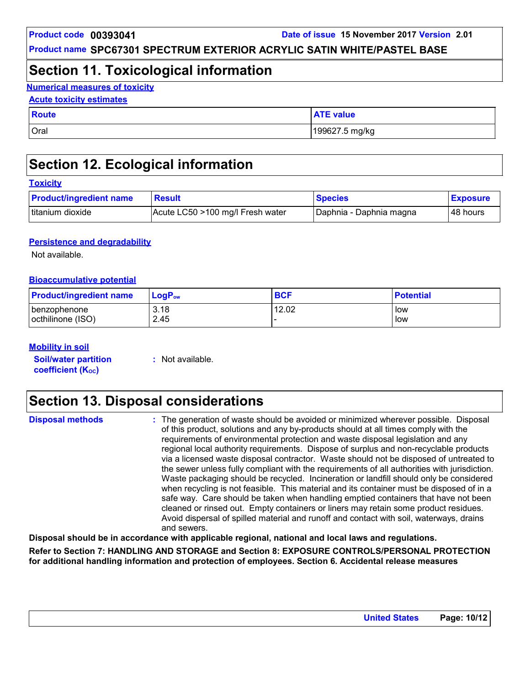## **Section 11. Toxicological information**

**Numerical measures of toxicity**

#### **Acute toxicity estimates**

| <b>Route</b> | <b>ATE value</b> |
|--------------|------------------|
| Oral         | 199627.5 mg/kg   |

## **Section 12. Ecological information**

| <b>Toxicity</b>                |                                  |                         |                 |  |
|--------------------------------|----------------------------------|-------------------------|-----------------|--|
| <b>Product/ingredient name</b> | <b>Result</b>                    | <b>Species</b>          | <b>Exposure</b> |  |
| titanium dioxide               | Acute LC50 >100 mg/l Fresh water | Daphnia - Daphnia magna | 48 hours        |  |

#### **Persistence and degradability**

Not available.

#### **Bioaccumulative potential**

| <b>Product/ingredient name</b> | $LogP_{ow}$ | <b>BCF</b> | <b>Potential</b> |
|--------------------------------|-------------|------------|------------------|
| I benzophenone                 | 3.18        | 12.02      | low              |
| octhilinone (ISO)              | 2.45        |            | low              |

#### **Mobility in soil**

**Soil/water partition coefficient (Koc)** 

**:** Not available.

## **Section 13. Disposal considerations**

| <b>Disposal methods</b> | : The generation of waste should be avoided or minimized wherever possible. Disposal<br>of this product, solutions and any by-products should at all times comply with the<br>requirements of environmental protection and waste disposal legislation and any<br>regional local authority requirements. Dispose of surplus and non-recyclable products<br>via a licensed waste disposal contractor. Waste should not be disposed of untreated to<br>the sewer unless fully compliant with the requirements of all authorities with jurisdiction.<br>Waste packaging should be recycled. Incineration or landfill should only be considered<br>when recycling is not feasible. This material and its container must be disposed of in a<br>safe way. Care should be taken when handling emptied containers that have not been<br>cleaned or rinsed out. Empty containers or liners may retain some product residues.<br>Avoid dispersal of spilled material and runoff and contact with soil, waterways, drains |
|-------------------------|----------------------------------------------------------------------------------------------------------------------------------------------------------------------------------------------------------------------------------------------------------------------------------------------------------------------------------------------------------------------------------------------------------------------------------------------------------------------------------------------------------------------------------------------------------------------------------------------------------------------------------------------------------------------------------------------------------------------------------------------------------------------------------------------------------------------------------------------------------------------------------------------------------------------------------------------------------------------------------------------------------------|
|                         | and sewers.                                                                                                                                                                                                                                                                                                                                                                                                                                                                                                                                                                                                                                                                                                                                                                                                                                                                                                                                                                                                    |

**Disposal should be in accordance with applicable regional, national and local laws and regulations.**

**Refer to Section 7: HANDLING AND STORAGE and Section 8: EXPOSURE CONTROLS/PERSONAL PROTECTION for additional handling information and protection of employees. Section 6. Accidental release measures**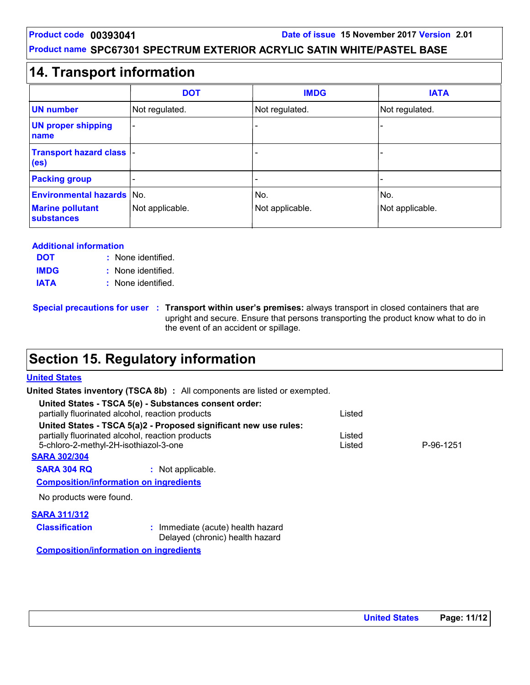## **14. Transport information**

|                                                             | <b>DOT</b>      | <b>IMDG</b>            | <b>IATA</b>            |
|-------------------------------------------------------------|-----------------|------------------------|------------------------|
| <b>UN number</b>                                            | Not regulated.  | Not regulated.         | Not regulated.         |
| <b>UN proper shipping</b><br>name                           | ٠               |                        |                        |
| <b>Transport hazard class  -</b><br>(e <sub>s</sub> )       |                 |                        |                        |
| <b>Packing group</b>                                        |                 |                        |                        |
| <b>Environmental hazards No.</b><br><b>Marine pollutant</b> | Not applicable. | No.<br>Not applicable. | No.<br>Not applicable. |
| <b>substances</b>                                           |                 |                        |                        |

#### **Additional information**

| <b>DOT</b>  | : None identified. |
|-------------|--------------------|
| <b>IMDG</b> | : None identified. |
| <b>IATA</b> | : None identified. |

**Special precautions for user Transport within user's premises:** always transport in closed containers that are **:** upright and secure. Ensure that persons transporting the product know what to do in the event of an accident or spillage.

## **Section 15. Regulatory information**

#### **United States**

**United States inventory (TSCA 8b) :** All components are listed or exempted.

| United States - TSCA 5(e) - Substances consent order:<br>partially fluorinated alcohol, reaction products |                                                                                                                      | Listed           |           |
|-----------------------------------------------------------------------------------------------------------|----------------------------------------------------------------------------------------------------------------------|------------------|-----------|
| 5-chloro-2-methyl-2H-isothiazol-3-one                                                                     | United States - TSCA 5(a)2 - Proposed significant new use rules:<br>partially fluorinated alcohol, reaction products | Listed<br>Listed | P-96-1251 |
| <b>SARA 302/304</b>                                                                                       |                                                                                                                      |                  |           |
| <b>SARA 304 RQ</b>                                                                                        | : Not applicable.                                                                                                    |                  |           |
| <b>Composition/information on ingredients</b>                                                             |                                                                                                                      |                  |           |
| No products were found.                                                                                   |                                                                                                                      |                  |           |
| <b>SARA 311/312</b>                                                                                       |                                                                                                                      |                  |           |
| <b>Classification</b>                                                                                     | : Immediate (acute) health hazard<br>Delayed (chronic) health hazard                                                 |                  |           |

**Composition/information on ingredients**